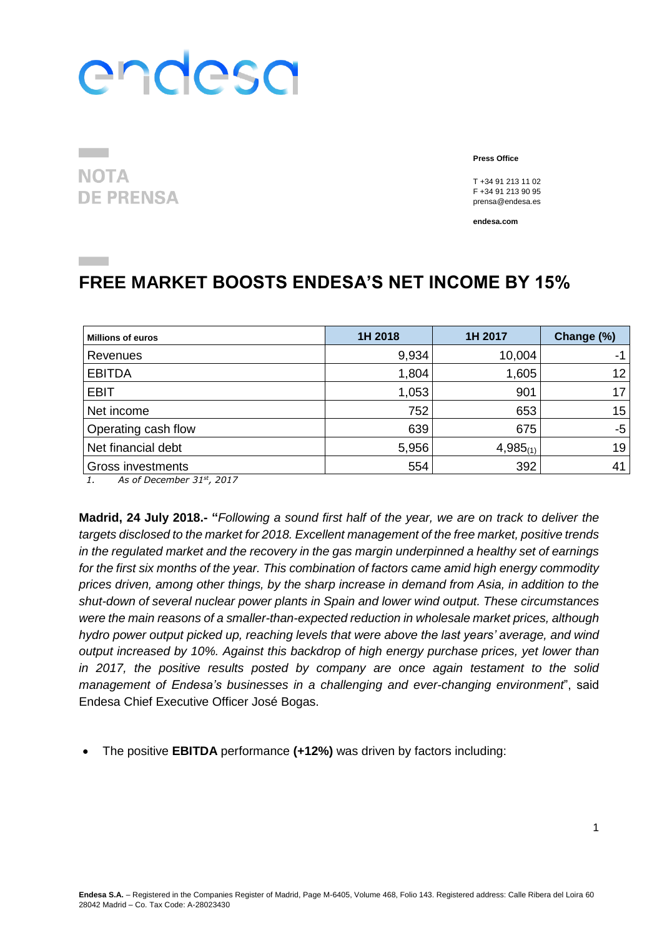**NOTA DE PRENSA**  **Press Office**

T +34 91 213 11 02 F +34 91 213 90 95 prensa@endesa.es

**endesa.com**

### **FREE MARKET BOOSTS ENDESA'S NET INCOME BY 15%**

| <b>Millions of euros</b> | 1H 2018 | 1H 2017       | Change (%)      |
|--------------------------|---------|---------------|-----------------|
| Revenues                 | 9,934   | 10,004        | -1              |
| <b>EBITDA</b>            | 1,804   | 1,605         | 12 <sub>1</sub> |
| <b>EBIT</b>              | 1,053   | 901           | 17              |
| Net income               | 752     | 653           | 15              |
| Operating cash flow      | 639     | 675           | $-5$            |
| Net financial debt       | 5,956   | $4,985_{(1)}$ | 19              |
| <b>Gross investments</b> | 554     | 392           | 41              |

*1. As of December 31st , 2017*

**Madrid, 24 July 2018.- "***Following a sound first half of the year, we are on track to deliver the targets disclosed to the market for 2018. Excellent management of the free market, positive trends in the regulated market and the recovery in the gas margin underpinned a healthy set of earnings for the first six months of the year. This combination of factors came amid high energy commodity prices driven, among other things, by the sharp increase in demand from Asia, in addition to the shut-down of several nuclear power plants in Spain and lower wind output. These circumstances were the main reasons of a smaller-than-expected reduction in wholesale market prices, although hydro power output picked up, reaching levels that were above the last years' average, and wind output increased by 10%. Against this backdrop of high energy purchase prices, yet lower than in 2017, the positive results posted by company are once again testament to the solid management of Endesa's businesses in a challenging and ever-changing environment*", said Endesa Chief Executive Officer José Bogas.

The positive **EBITDA** performance **(+12%)** was driven by factors including: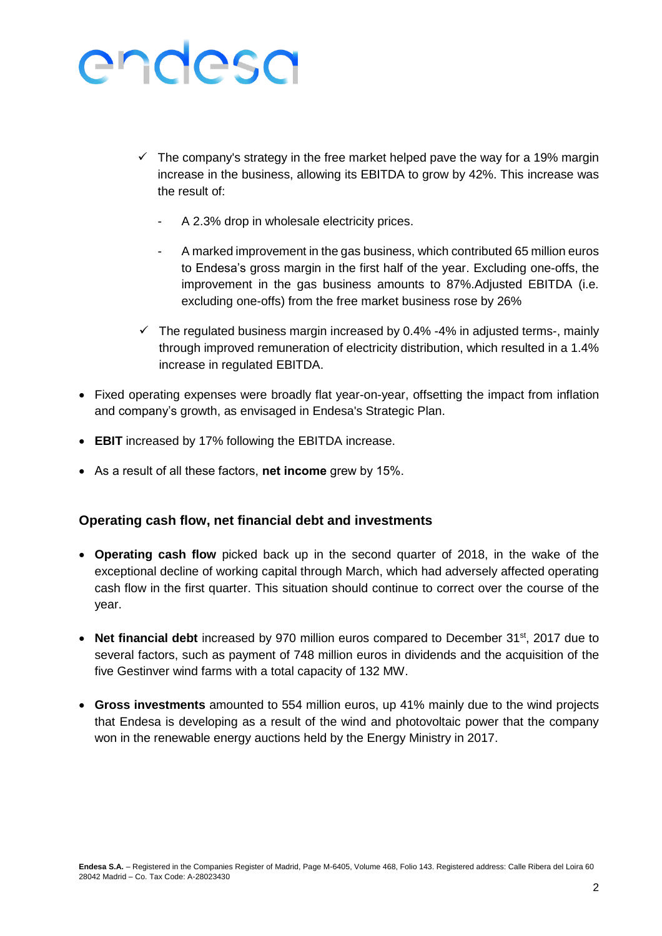- $\checkmark$  The company's strategy in the free market helped pave the way for a 19% margin increase in the business, allowing its EBITDA to grow by 42%. This increase was the result of:
	- A 2.3% drop in wholesale electricity prices.
	- A marked improvement in the gas business, which contributed 65 million euros to Endesa's gross margin in the first half of the year. Excluding one-offs, the improvement in the gas business amounts to 87%.Adjusted EBITDA (i.e. excluding one-offs) from the free market business rose by 26%
- $\checkmark$  The regulated business margin increased by 0.4% -4% in adjusted terms-, mainly through improved remuneration of electricity distribution, which resulted in a 1.4% increase in regulated EBITDA.
- Fixed operating expenses were broadly flat year-on-year, offsetting the impact from inflation and company's growth, as envisaged in Endesa's Strategic Plan.
- **EBIT** increased by 17% following the EBITDA increase.
- As a result of all these factors, **net income** grew by 15%.

#### **Operating cash flow, net financial debt and investments**

- **Operating cash flow** picked back up in the second quarter of 2018, in the wake of the exceptional decline of working capital through March, which had adversely affected operating cash flow in the first quarter. This situation should continue to correct over the course of the year.
- Net financial debt increased by 970 million euros compared to December 31<sup>st</sup>, 2017 due to several factors, such as payment of 748 million euros in dividends and the acquisition of the five Gestinver wind farms with a total capacity of 132 MW.
- **Gross investments** amounted to 554 million euros, up 41% mainly due to the wind projects that Endesa is developing as a result of the wind and photovoltaic power that the company won in the renewable energy auctions held by the Energy Ministry in 2017.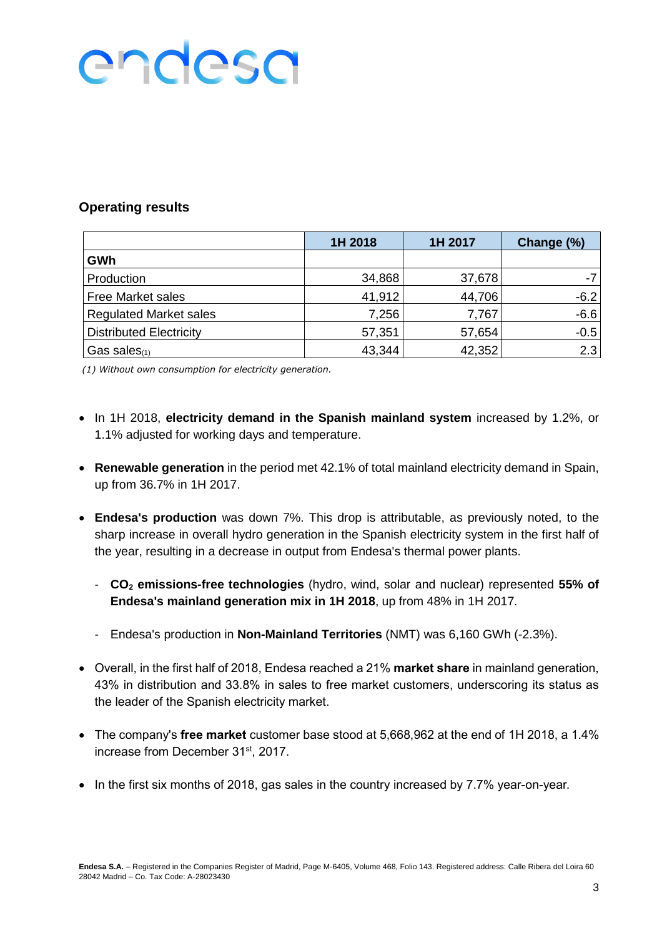### **Operating results**

|                                | 1H 2018 | 1H 2017 | Change (%) |
|--------------------------------|---------|---------|------------|
| GWh                            |         |         |            |
| Production                     | 34,868  | 37,678  |            |
| <b>Free Market sales</b>       | 41,912  | 44,706  | $-6.2$     |
| <b>Regulated Market sales</b>  | 7,256   | 7,767   | $-6.6$     |
| <b>Distributed Electricity</b> | 57,351  | 57,654  | $-0.5$     |
| Gas sales $(1)$                | 43,344  | 42,352  | 2.3        |

*(1) Without own consumption for electricity generation.*

- In 1H 2018, **electricity demand in the Spanish mainland system** increased by 1.2%, or 1.1% adjusted for working days and temperature.
- **Renewable generation** in the period met 42.1% of total mainland electricity demand in Spain, up from 36.7% in 1H 2017.
- **Endesa's production** was down 7%. This drop is attributable, as previously noted, to the sharp increase in overall hydro generation in the Spanish electricity system in the first half of the year, resulting in a decrease in output from Endesa's thermal power plants.
	- **CO<sup>2</sup> emissions-free technologies** (hydro, wind, solar and nuclear) represented **55% of Endesa's mainland generation mix in 1H 2018**, up from 48% in 1H 2017.
	- Endesa's production in **Non-Mainland Territories** (NMT) was 6,160 GWh (-2.3%).
- Overall, in the first half of 2018, Endesa reached a 21% **market share** in mainland generation, 43% in distribution and 33.8% in sales to free market customers, underscoring its status as the leader of the Spanish electricity market.
- The company's **free market** customer base stood at 5,668,962 at the end of 1H 2018, a 1.4% increase from December 31<sup>st</sup>, 2017.
- $\bullet$  In the first six months of 2018, gas sales in the country increased by 7.7% year-on-year.